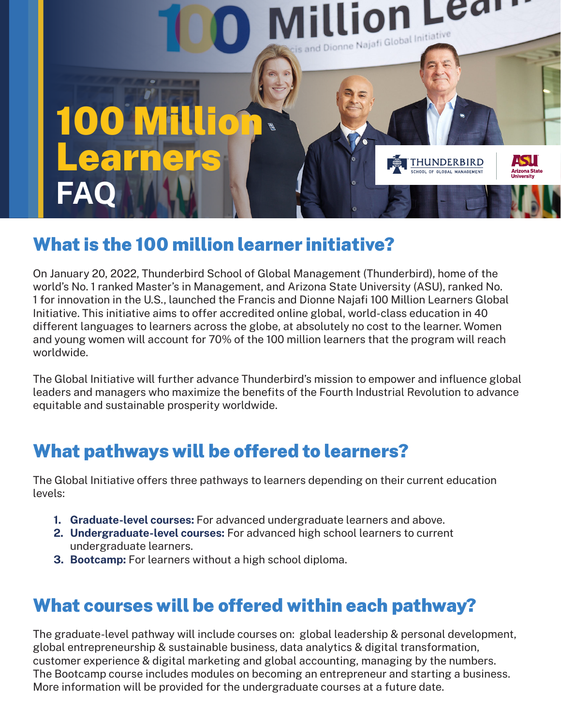

# What is the 100 million learner initiative?

On January 20, 2022, Thunderbird School of Global Management (Thunderbird), home of the world's No. 1 ranked Master's in Management, and Arizona State University (ASU), ranked No. 1 for innovation in the U.S., launched the Francis and Dionne Najafi 100 Million Learners Global Initiative. This initiative aims to offer accredited online global, world-class education in 40 different languages to learners across the globe, at absolutely no cost to the learner. Women and young women will account for 70% of the 100 million learners that the program will reach worldwide.

The Global Initiative will further advance Thunderbird's mission to empower and influence global leaders and managers who maximize the benefits of the Fourth Industrial Revolution to advance equitable and sustainable prosperity worldwide.

# What pathways will be offered to learners?

The Global Initiative offers three pathways to learners depending on their current education levels:

- 1. Graduate-level courses: For advanced undergraduate learners and above.
- 2. Undergraduate-level courses: For advanced high school learners to current undergraduate learners.
- **3. Bootcamp:** For learners without a high school diploma.

# What courses will be offered within each pathway?

The graduate-level pathway will include courses on: global leadership & personal development, global entrepreneurship & sustainable business, data analytics & digital transformation, customer experience & digital marketing and global accounting, managing by the numbers. The Bootcamp course includes modules on becoming an entrepreneur and starting a business. More information will be provided for the undergraduate courses at a future date.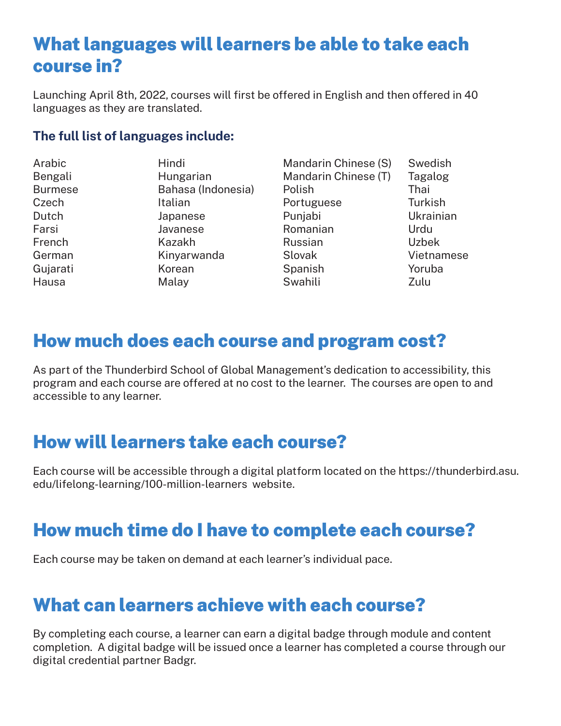#### What languages will learners be able to take each course in?

Launching April 8th, 2022, courses will first be offered in English and then offered in 40 languages as they are translated.

#### The full list of languages include:

| Arabic         | Hindi              | Mandarin Chinese (S) | Swedish      |
|----------------|--------------------|----------------------|--------------|
| Bengali        | Hungarian          | Mandarin Chinese (T) | Tagalog      |
| <b>Burmese</b> | Bahasa (Indonesia) | Polish               | Thai         |
| Czech          | Italian            | Portuguese           | Turkish      |
| Dutch          | Japanese           | Punjabi              | Ukrainian    |
| Farsi          | Javanese           | Romanian             | Urdu         |
| French         | Kazakh             | Russian              | <b>Uzbek</b> |
| German         | Kinyarwanda        | Slovak               | Vietnamese   |
| Gujarati       | Korean             | Spanish              | Yoruba       |
| Hausa          | Malay              | Swahili              | Zulu         |

#### How much does each course and program cost?

As part of the Thunderbird School of Global Management's dedication to accessibility, this program and each course are offered at no cost to the learner. The courses are open to and accessible to any learner.

#### How will learners take each course?

Each course will be accessible through a digital platform located on the https://thunderbird.asu. edu/lifelong-learning/100-million-learners website.

#### How much time do I have to complete each course?

Each course may be taken on demand at each learner's individual pace.

#### What can learners achieve with each course?

By completing each course, a learner can earn a digital badge through module and content completion. A digital badge will be issued once a learner has completed a course through our digital credential partner Badgr.